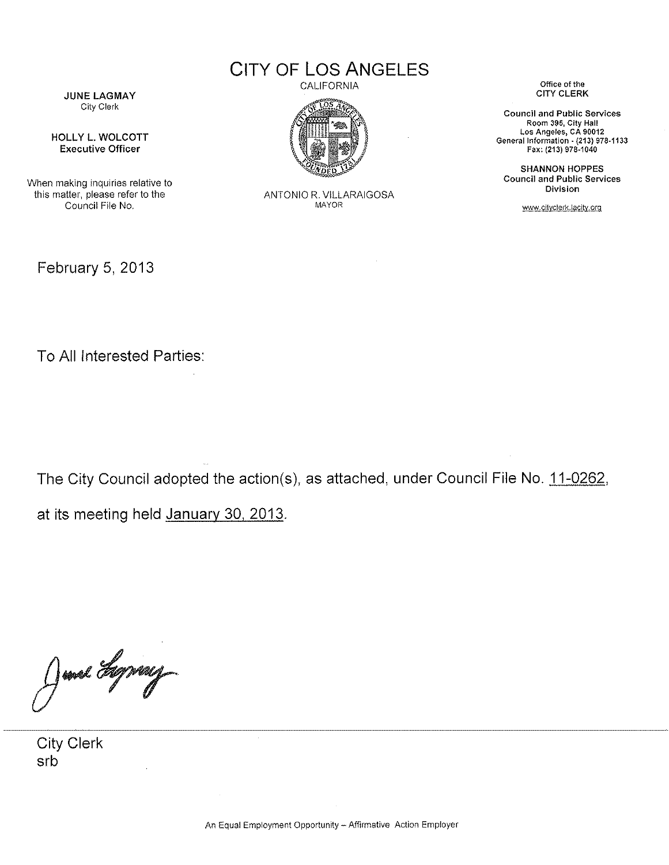CITY OF LOS ANGELES

JUNE LAGMAY City Clerk

HOLLY L. WOLCOTT Executive Officer

When making inquiries relative to this matter, please refer to the Council File No.

February 5, 2013

CALIFORNIA



ANTONIO R. VILLARAIGOSA MAYOR

Office of the CITY CLERK

Council and Public Services Room 395, City Hall Los Angeles, CA 90012 General Information· {213) 978-1133 Fax: (213) 978-1040

SHANNON HOPPES Council and Public Services Division

www.cityclerk.lacity.org

To All Interested Parties:

The City Council adopted the action(s), as attached, under Council File No. 11-0262, at its meeting held January 30, 2013.

June Hymny

City Clerk srb